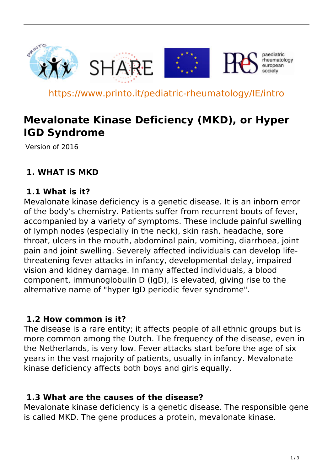

https://www.printo.it/pediatric-rheumatology/IE/intro

# **Mevalonate Kinase Deficiency (MKD), or Hyper IGD Syndrome**

Version of 2016

# **1. WHAT IS MKD**

### **1.1 What is it?**

Mevalonate kinase deficiency is a genetic disease. It is an inborn error of the body's chemistry. Patients suffer from recurrent bouts of fever, accompanied by a variety of symptoms. These include painful swelling of lymph nodes (especially in the neck), skin rash, headache, sore throat, ulcers in the mouth, abdominal pain, vomiting, diarrhoea, joint pain and joint swelling. Severely affected individuals can develop lifethreatening fever attacks in infancy, developmental delay, impaired vision and kidney damage. In many affected individuals, a blood component, immunoglobulin D (IgD), is elevated, giving rise to the alternative name of "hyper IgD periodic fever syndrome".

#### **1.2 How common is it?**

The disease is a rare entity; it affects people of all ethnic groups but is more common among the Dutch. The frequency of the disease, even in the Netherlands, is very low. Fever attacks start before the age of six years in the vast majority of patients, usually in infancy. Mevalonate kinase deficiency affects both boys and girls equally.

#### **1.3 What are the causes of the disease?**

Mevalonate kinase deficiency is a genetic disease. The responsible gene is called MKD. The gene produces a protein, mevalonate kinase.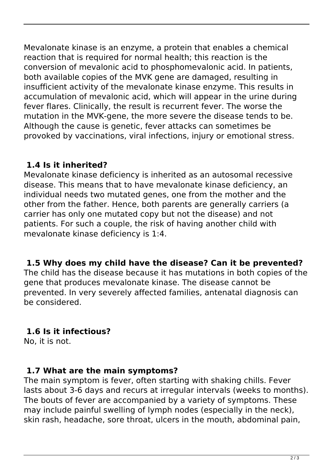Mevalonate kinase is an enzyme, a protein that enables a chemical reaction that is required for normal health; this reaction is the conversion of mevalonic acid to phosphomevalonic acid. In patients, both available copies of the MVK gene are damaged, resulting in insufficient activity of the mevalonate kinase enzyme. This results in accumulation of mevalonic acid, which will appear in the urine during fever flares. Clinically, the result is recurrent fever. The worse the mutation in the MVK-gene, the more severe the disease tends to be. Although the cause is genetic, fever attacks can sometimes be provoked by vaccinations, viral infections, injury or emotional stress.

# **1.4 Is it inherited?**

Mevalonate kinase deficiency is inherited as an autosomal recessive disease. This means that to have mevalonate kinase deficiency, an individual needs two mutated genes, one from the mother and the other from the father. Hence, both parents are generally carriers (a carrier has only one mutated copy but not the disease) and not patients. For such a couple, the risk of having another child with mevalonate kinase deficiency is 1:4.

# **1.5 Why does my child have the disease? Can it be prevented?**

The child has the disease because it has mutations in both copies of the gene that produces mevalonate kinase. The disease cannot be prevented. In very severely affected families, antenatal diagnosis can be considered.

# **1.6 Is it infectious?**

No, it is not.

### **1.7 What are the main symptoms?**

The main symptom is fever, often starting with shaking chills. Fever lasts about 3-6 days and recurs at irregular intervals (weeks to months). The bouts of fever are accompanied by a variety of symptoms. These may include painful swelling of lymph nodes (especially in the neck), skin rash, headache, sore throat, ulcers in the mouth, abdominal pain,